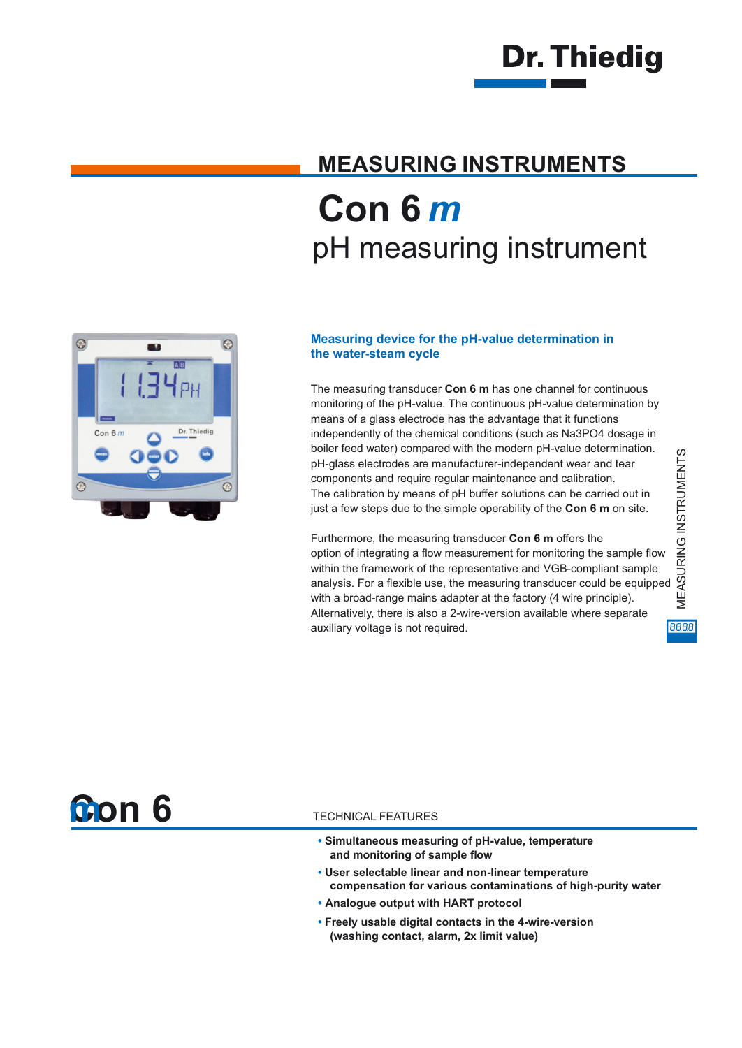

## **MEASURING INSTRUMENTS Con 6** *m* pH measuring instrument



#### **Measuring device for the pH-value determination in the water-steam cycle**

The measuring transducer **Con 6 m** has one channel for continuous monitoring of the pH-value. The continuous pH-value determination by means of a glass electrode has the advantage that it functions independently of the chemical conditions (such as Na3PO4 dosage in boiler feed water) compared with the modern pH-value determination. pH-glass electrodes are manufacturer-independent wear and tear components and require regular maintenance and calibration. The calibration by means of pH buffer solutions can be carried out in just a few steps due to the simple operability of the **Con 6 m** on site.

Furthermore, the measuring transducer **Con 6 m** offers the option of integrating a flow measurement for monitoring the sample flow within the framework of the representative and VGB-compliant sample analysis. For a flexible use, the measuring transducer could be equipped with a broad-range mains adapter at the factory (4 wire principle). Alternatively, there is also a 2-wire-version available where separate auxiliary voltage is not required.

MEASURING INSTRUMENTS MEASURING INSTRUMENTS 8888



#### TECHNICAL FEATURES

- **• Simultaneous measuring of pH-value, temperature and monitoring of sample flow**
- **• User selectable linear and non-linear temperature compensation for various contaminations of high-purity water**
- **• Analogue output with HART protocol**
- **• Freely usable digital contacts in the 4-wire-version (washing contact, alarm, 2x limit value)**